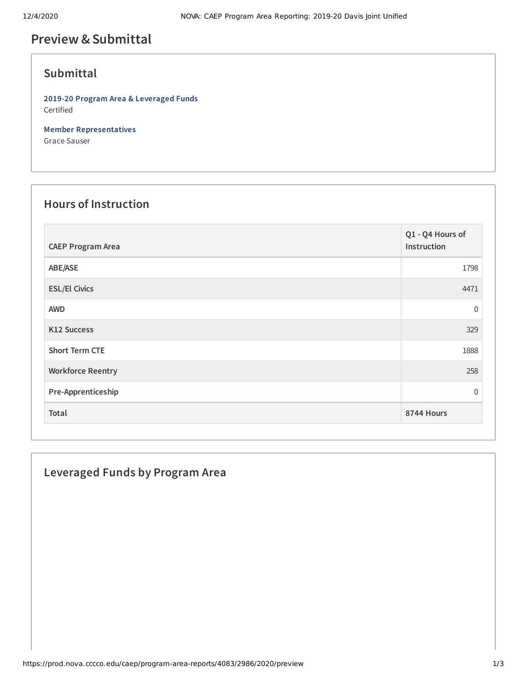# **Preview &Submittal**

## **Submittal**

**2019-20 Program Area & Leveraged Funds** Certified

**Member Representatives** Grace Sauser

#### **Hours of Instruction**

| <b>CAEP Program Area</b> | Q1 - Q4 Hours of<br>Instruction |
|--------------------------|---------------------------------|
| ABE/ASE                  | 1798                            |
| <b>ESL/El Civics</b>     | 4471                            |
| <b>AWD</b>               | $\overline{0}$                  |
| K12 Success              | 329                             |
| <b>Short Term CTE</b>    | 1888                            |
| <b>Workforce Reentry</b> | 258                             |
| Pre-Apprenticeship       | $\Omega$                        |
| Total                    | 8744 Hours                      |

### **Leveraged Funds by Program Area**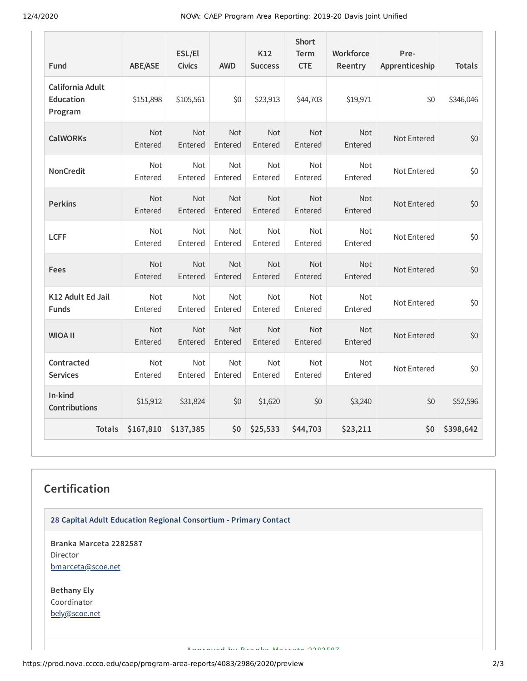12/4/2020 NOVA: CAEP Program Area Reporting: 2019-20 Davis Joint Unified

| Fund                                            | <b>ABE/ASE</b> | ESL/El<br><b>Civics</b> | <b>AWD</b>     | K12<br><b>Success</b> | <b>Short</b><br><b>Term</b><br><b>CTE</b> | Workforce<br>Reentry  | Pre-<br>Apprenticeship | <b>Totals</b> |
|-------------------------------------------------|----------------|-------------------------|----------------|-----------------------|-------------------------------------------|-----------------------|------------------------|---------------|
| California Adult<br><b>Education</b><br>Program | \$151,898      | \$105,561               | \$0            | \$23,913              | \$44,703                                  | \$19,971              | \$0                    | \$346,046     |
| <b>CalWORKs</b>                                 | Not<br>Entered | Not<br>Entered          | Not<br>Entered | Not<br>Entered        | Not<br>Entered                            | Not<br>Entered        | Not Entered            | \$0           |
| <b>NonCredit</b>                                | Not<br>Entered | Not<br>Entered          | Not<br>Entered | Not<br>Entered        | Not<br>Entered                            | Not<br>Entered        | Not Entered            | \$0           |
| <b>Perkins</b>                                  | Not<br>Entered | Not<br>Entered          | Not<br>Entered | Not<br>Entered        | Not<br>Entered                            | Not<br>Entered        | Not Entered            | \$0           |
| <b>LCFF</b>                                     | Not<br>Entered | Not<br>Entered          | Not<br>Entered | Not<br>Entered        | Not<br>Entered                            | Not<br>Entered        | Not Entered            | \$0           |
| Fees                                            | Not<br>Entered | Not<br>Entered          | Not<br>Entered | Not<br>Entered        | Not<br>Entered                            | Not<br>Entered        | Not Entered            | \$0           |
| K12 Adult Ed Jail<br><b>Funds</b>               | Not<br>Entered | Not<br>Entered          | Not<br>Entered | Not<br>Entered        | Not<br>Entered                            | <b>Not</b><br>Entered | Not Entered            | \$0           |
| <b>WIOA II</b>                                  | Not<br>Entered | Not<br>Entered          | Not<br>Entered | Not<br>Entered        | Not<br>Entered                            | <b>Not</b><br>Entered | Not Entered            | \$0           |
| Contracted<br><b>Services</b>                   | Not<br>Entered | Not<br>Entered          | Not<br>Entered | Not<br>Entered        | Not<br>Entered                            | Not<br>Entered        | Not Entered            | \$0           |
| In-kind<br><b>Contributions</b>                 | \$15,912       | \$31,824                | \$0            | \$1,620               | \$0                                       | \$3,240               | \$0                    | \$52,596      |
| <b>Totals</b>                                   | \$167,810      | \$137,385               | \$0            | \$25,533              | \$44,703                                  | \$23,211              | \$0                    | \$398,642     |

#### **Certification**

**28 Capital Adult Education Regional Consortium - Primary Contact**

**Branka Marceta 2282587** Director [bmarceta@scoe.net](mailto:bmarceta@scoe.net)

**Bethany Ely** Coordinator [bely@scoe.net](mailto:bely@scoe.net)

Approved by Branka Marcata 2282587